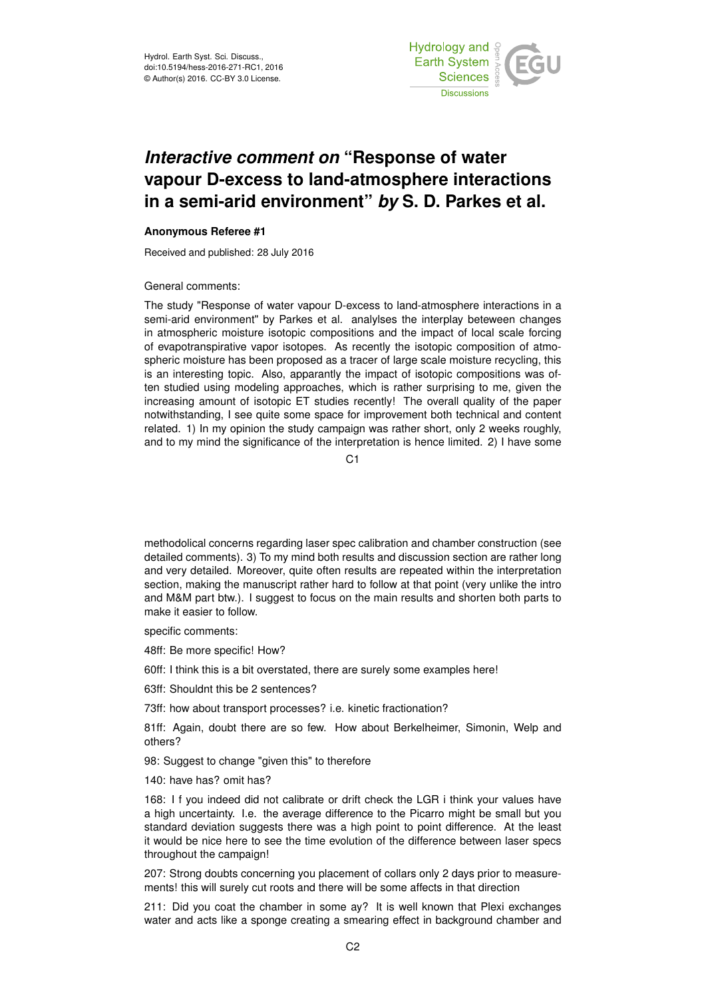

## *Interactive comment on* **"Response of water vapour D-excess to land-atmosphere interactions in a semi-arid environment"** *by* **S. D. Parkes et al.**

## **Anonymous Referee #1**

Received and published: 28 July 2016

General comments:

The study "Response of water vapour D-excess to land-atmosphere interactions in a semi-arid environment" by Parkes et al. analylses the interplay beteween changes in atmospheric moisture isotopic compositions and the impact of local scale forcing of evapotranspirative vapor isotopes. As recently the isotopic composition of atmospheric moisture has been proposed as a tracer of large scale moisture recycling, this is an interesting topic. Also, apparantly the impact of isotopic compositions was often studied using modeling approaches, which is rather surprising to me, given the increasing amount of isotopic ET studies recently! The overall quality of the paper notwithstanding, I see quite some space for improvement both technical and content related. 1) In my opinion the study campaign was rather short, only 2 weeks roughly, and to my mind the significance of the interpretation is hence limited. 2) I have some

C1

methodolical concerns regarding laser spec calibration and chamber construction (see detailed comments). 3) To my mind both results and discussion section are rather long and very detailed. Moreover, quite often results are repeated within the interpretation section, making the manuscript rather hard to follow at that point (very unlike the intro and M&M part btw.). I suggest to focus on the main results and shorten both parts to make it easier to follow.

specific comments:

- 48ff: Be more specific! How?
- 60ff: I think this is a bit overstated, there are surely some examples here!
- 63ff: Shouldnt this be 2 sentences?
- 73ff: how about transport processes? i.e. kinetic fractionation?

81ff: Again, doubt there are so few. How about Berkelheimer, Simonin, Welp and others?

98: Suggest to change "given this" to therefore

140: have has? omit has?

168: I f you indeed did not calibrate or drift check the LGR i think your values have a high uncertainty. I.e. the average difference to the Picarro might be small but you standard deviation suggests there was a high point to point difference. At the least it would be nice here to see the time evolution of the difference between laser specs throughout the campaign!

207: Strong doubts concerning you placement of collars only 2 days prior to measurements! this will surely cut roots and there will be some affects in that direction

211: Did you coat the chamber in some ay? It is well known that Plexi exchanges water and acts like a sponge creating a smearing effect in background chamber and